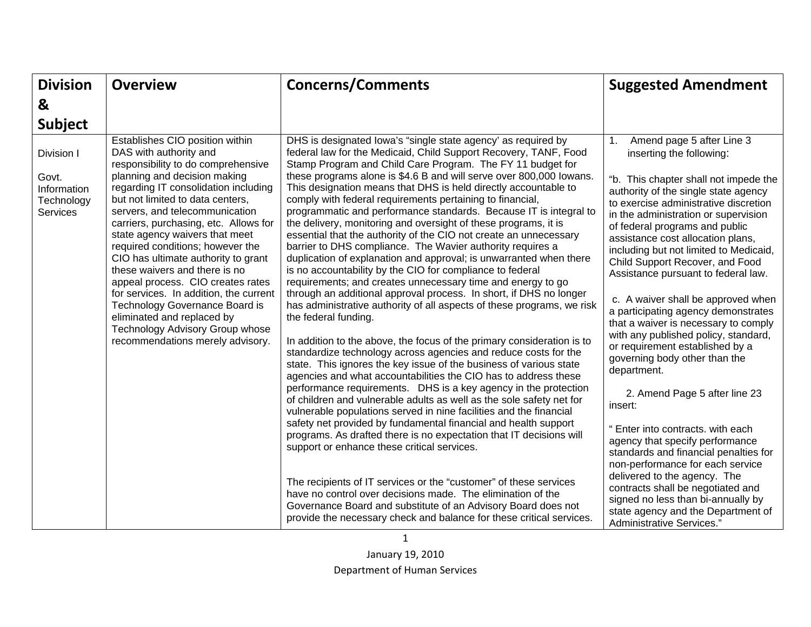| <b>Division</b>                                              | <b>Overview</b>                                                                                                                                                                                                                                                                                                                                                                                                                                                                                                                                                                                                                                            | <b>Concerns/Comments</b>                                                                                                                                                                                                                                                                                                                                                                                                                                                                                                                                                                                                                                                                                                                                                                                                                                                                                                                                                                                                                                                                                                                                                                                                                                                                                                                                                                                                                                                                                                                                                                                                                                                                                                                                                                                                                                                                                                                                                                                                                 | <b>Suggested Amendment</b>                                                                                                                                                                                                                                                                                                                                                                                                                                                                                                                                                                                                                                                                                                                                                                                                                                                                                                                                                                                                                              |
|--------------------------------------------------------------|------------------------------------------------------------------------------------------------------------------------------------------------------------------------------------------------------------------------------------------------------------------------------------------------------------------------------------------------------------------------------------------------------------------------------------------------------------------------------------------------------------------------------------------------------------------------------------------------------------------------------------------------------------|------------------------------------------------------------------------------------------------------------------------------------------------------------------------------------------------------------------------------------------------------------------------------------------------------------------------------------------------------------------------------------------------------------------------------------------------------------------------------------------------------------------------------------------------------------------------------------------------------------------------------------------------------------------------------------------------------------------------------------------------------------------------------------------------------------------------------------------------------------------------------------------------------------------------------------------------------------------------------------------------------------------------------------------------------------------------------------------------------------------------------------------------------------------------------------------------------------------------------------------------------------------------------------------------------------------------------------------------------------------------------------------------------------------------------------------------------------------------------------------------------------------------------------------------------------------------------------------------------------------------------------------------------------------------------------------------------------------------------------------------------------------------------------------------------------------------------------------------------------------------------------------------------------------------------------------------------------------------------------------------------------------------------------------|---------------------------------------------------------------------------------------------------------------------------------------------------------------------------------------------------------------------------------------------------------------------------------------------------------------------------------------------------------------------------------------------------------------------------------------------------------------------------------------------------------------------------------------------------------------------------------------------------------------------------------------------------------------------------------------------------------------------------------------------------------------------------------------------------------------------------------------------------------------------------------------------------------------------------------------------------------------------------------------------------------------------------------------------------------|
| &                                                            |                                                                                                                                                                                                                                                                                                                                                                                                                                                                                                                                                                                                                                                            |                                                                                                                                                                                                                                                                                                                                                                                                                                                                                                                                                                                                                                                                                                                                                                                                                                                                                                                                                                                                                                                                                                                                                                                                                                                                                                                                                                                                                                                                                                                                                                                                                                                                                                                                                                                                                                                                                                                                                                                                                                          |                                                                                                                                                                                                                                                                                                                                                                                                                                                                                                                                                                                                                                                                                                                                                                                                                                                                                                                                                                                                                                                         |
| <b>Subject</b>                                               |                                                                                                                                                                                                                                                                                                                                                                                                                                                                                                                                                                                                                                                            |                                                                                                                                                                                                                                                                                                                                                                                                                                                                                                                                                                                                                                                                                                                                                                                                                                                                                                                                                                                                                                                                                                                                                                                                                                                                                                                                                                                                                                                                                                                                                                                                                                                                                                                                                                                                                                                                                                                                                                                                                                          |                                                                                                                                                                                                                                                                                                                                                                                                                                                                                                                                                                                                                                                                                                                                                                                                                                                                                                                                                                                                                                                         |
| Division I<br>Govt.<br>Information<br>Technology<br>Services | Establishes CIO position within<br>DAS with authority and<br>responsibility to do comprehensive<br>planning and decision making<br>regarding IT consolidation including<br>but not limited to data centers,<br>servers, and telecommunication<br>carriers, purchasing, etc. Allows for<br>state agency waivers that meet<br>required conditions; however the<br>CIO has ultimate authority to grant<br>these waivers and there is no<br>appeal process. CIO creates rates<br>for services. In addition, the current<br>Technology Governance Board is<br>eliminated and replaced by<br>Technology Advisory Group whose<br>recommendations merely advisory. | DHS is designated lowa's "single state agency' as required by<br>federal law for the Medicaid, Child Support Recovery, TANF, Food<br>Stamp Program and Child Care Program. The FY 11 budget for<br>these programs alone is \$4.6 B and will serve over 800,000 lowans.<br>This designation means that DHS is held directly accountable to<br>comply with federal requirements pertaining to financial,<br>programmatic and performance standards. Because IT is integral to<br>the delivery, monitoring and oversight of these programs, it is<br>essential that the authority of the CIO not create an unnecessary<br>barrier to DHS compliance. The Wavier authority requires a<br>duplication of explanation and approval; is unwarranted when there<br>is no accountability by the CIO for compliance to federal<br>requirements; and creates unnecessary time and energy to go<br>through an additional approval process. In short, if DHS no longer<br>has administrative authority of all aspects of these programs, we risk<br>the federal funding.<br>In addition to the above, the focus of the primary consideration is to<br>standardize technology across agencies and reduce costs for the<br>state. This ignores the key issue of the business of various state<br>agencies and what accountabilities the CIO has to address these<br>performance requirements. DHS is a key agency in the protection<br>of children and vulnerable adults as well as the sole safety net for<br>vulnerable populations served in nine facilities and the financial<br>safety net provided by fundamental financial and health support<br>programs. As drafted there is no expectation that IT decisions will<br>support or enhance these critical services.<br>The recipients of IT services or the "customer" of these services<br>have no control over decisions made. The elimination of the<br>Governance Board and substitute of an Advisory Board does not<br>provide the necessary check and balance for these critical services. | Amend page 5 after Line 3<br>1.<br>inserting the following:<br>"b. This chapter shall not impede the<br>authority of the single state agency<br>to exercise administrative discretion<br>in the administration or supervision<br>of federal programs and public<br>assistance cost allocation plans,<br>including but not limited to Medicaid,<br>Child Support Recover, and Food<br>Assistance pursuant to federal law.<br>c. A waiver shall be approved when<br>a participating agency demonstrates<br>that a waiver is necessary to comply<br>with any published policy, standard,<br>or requirement established by a<br>governing body other than the<br>department.<br>2. Amend Page 5 after line 23<br>insert:<br>" Enter into contracts. with each<br>agency that specify performance<br>standards and financial penalties for<br>non-performance for each service<br>delivered to the agency. The<br>contracts shall be negotiated and<br>signed no less than bi-annually by<br>state agency and the Department of<br>Administrative Services." |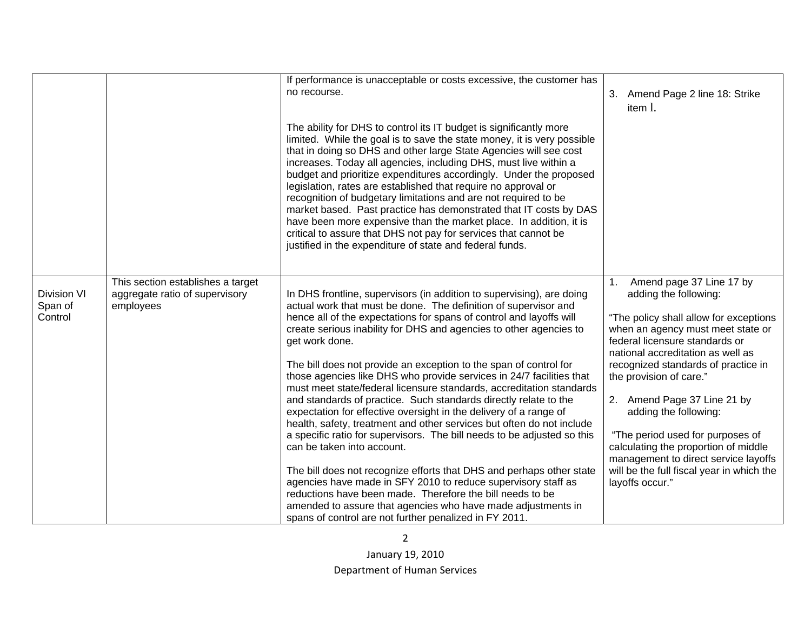|                                          |                                                                                  | If performance is unacceptable or costs excessive, the customer has<br>no recourse.<br>The ability for DHS to control its IT budget is significantly more<br>limited. While the goal is to save the state money, it is very possible<br>that in doing so DHS and other large State Agencies will see cost<br>increases. Today all agencies, including DHS, must live within a<br>budget and prioritize expenditures accordingly. Under the proposed<br>legislation, rates are established that require no approval or<br>recognition of budgetary limitations and are not required to be<br>market based. Past practice has demonstrated that IT costs by DAS<br>have been more expensive than the market place. In addition, it is<br>critical to assure that DHS not pay for services that cannot be<br>justified in the expenditure of state and federal funds.                                                                                                                                                                                                                                                                                                                      | 3. Amend Page 2 line 18: Strike<br>item 1.                                                                                                                                                                                                                                                                                                                                                                                                                                                                                  |
|------------------------------------------|----------------------------------------------------------------------------------|-----------------------------------------------------------------------------------------------------------------------------------------------------------------------------------------------------------------------------------------------------------------------------------------------------------------------------------------------------------------------------------------------------------------------------------------------------------------------------------------------------------------------------------------------------------------------------------------------------------------------------------------------------------------------------------------------------------------------------------------------------------------------------------------------------------------------------------------------------------------------------------------------------------------------------------------------------------------------------------------------------------------------------------------------------------------------------------------------------------------------------------------------------------------------------------------|-----------------------------------------------------------------------------------------------------------------------------------------------------------------------------------------------------------------------------------------------------------------------------------------------------------------------------------------------------------------------------------------------------------------------------------------------------------------------------------------------------------------------------|
| <b>Division VI</b><br>Span of<br>Control | This section establishes a target<br>aggregate ratio of supervisory<br>employees | In DHS frontline, supervisors (in addition to supervising), are doing<br>actual work that must be done. The definition of supervisor and<br>hence all of the expectations for spans of control and layoffs will<br>create serious inability for DHS and agencies to other agencies to<br>get work done.<br>The bill does not provide an exception to the span of control for<br>those agencies like DHS who provide services in 24/7 facilities that<br>must meet state/federal licensure standards, accreditation standards<br>and standards of practice. Such standards directly relate to the<br>expectation for effective oversight in the delivery of a range of<br>health, safety, treatment and other services but often do not include<br>a specific ratio for supervisors. The bill needs to be adjusted so this<br>can be taken into account.<br>The bill does not recognize efforts that DHS and perhaps other state<br>agencies have made in SFY 2010 to reduce supervisory staff as<br>reductions have been made. Therefore the bill needs to be<br>amended to assure that agencies who have made adjustments in<br>spans of control are not further penalized in FY 2011. | 1.<br>Amend page 37 Line 17 by<br>adding the following:<br>"The policy shall allow for exceptions<br>when an agency must meet state or<br>federal licensure standards or<br>national accreditation as well as<br>recognized standards of practice in<br>the provision of care."<br>2. Amend Page 37 Line 21 by<br>adding the following:<br>"The period used for purposes of<br>calculating the proportion of middle<br>management to direct service layoffs<br>will be the full fiscal year in which the<br>layoffs occur." |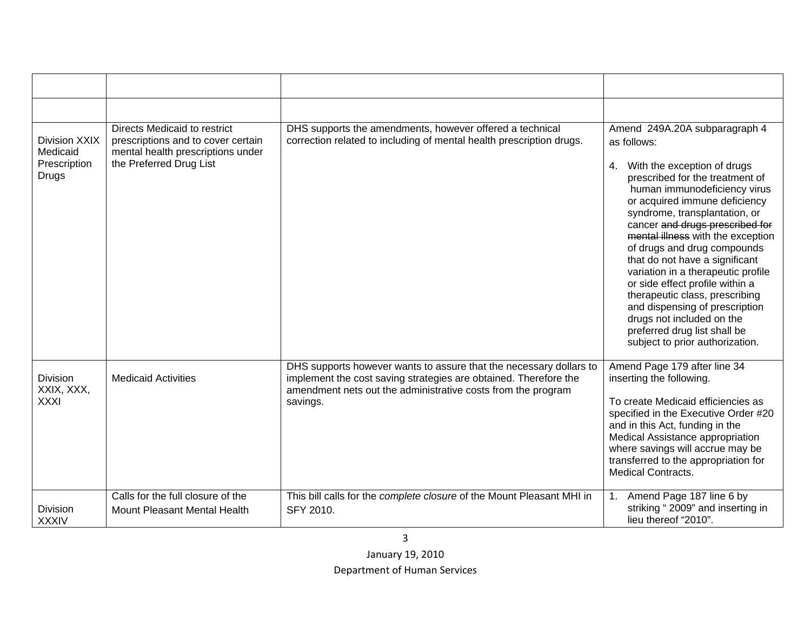| Division XXIX<br>Medicaid<br>Prescription<br><b>Drugs</b> | <b>Directs Medicaid to restrict</b><br>prescriptions and to cover certain<br>mental health prescriptions under<br>the Preferred Drug List | DHS supports the amendments, however offered a technical<br>correction related to including of mental health prescription drugs.                                                                                   | Amend 249A.20A subparagraph 4<br>as follows:<br>With the exception of drugs<br>4.<br>prescribed for the treatment of<br>human immunodeficiency virus<br>or acquired immune deficiency<br>syndrome, transplantation, or<br>cancer and drugs prescribed for<br>mental illness with the exception<br>of drugs and drug compounds<br>that do not have a significant<br>variation in a therapeutic profile<br>or side effect profile within a |
|-----------------------------------------------------------|-------------------------------------------------------------------------------------------------------------------------------------------|--------------------------------------------------------------------------------------------------------------------------------------------------------------------------------------------------------------------|------------------------------------------------------------------------------------------------------------------------------------------------------------------------------------------------------------------------------------------------------------------------------------------------------------------------------------------------------------------------------------------------------------------------------------------|
|                                                           |                                                                                                                                           |                                                                                                                                                                                                                    | therapeutic class, prescribing<br>and dispensing of prescription<br>drugs not included on the<br>preferred drug list shall be<br>subject to prior authorization.                                                                                                                                                                                                                                                                         |
| <b>Division</b><br>XXIX, XXX,<br><b>XXXI</b>              | <b>Medicaid Activities</b>                                                                                                                | DHS supports however wants to assure that the necessary dollars to<br>implement the cost saving strategies are obtained. Therefore the<br>amendment nets out the administrative costs from the program<br>savings. | Amend Page 179 after line 34<br>inserting the following.<br>To create Medicaid efficiencies as<br>specified in the Executive Order #20<br>and in this Act, funding in the<br>Medical Assistance appropriation<br>where savings will accrue may be<br>transferred to the appropriation for<br><b>Medical Contracts.</b>                                                                                                                   |
| Division<br><b>XXXIV</b>                                  | Calls for the full closure of the<br>Mount Pleasant Mental Health                                                                         | This bill calls for the complete closure of the Mount Pleasant MHI in<br>SFY 2010.                                                                                                                                 | Amend Page 187 line 6 by<br>1.<br>striking "2009" and inserting in<br>lieu thereof "2010".                                                                                                                                                                                                                                                                                                                                               |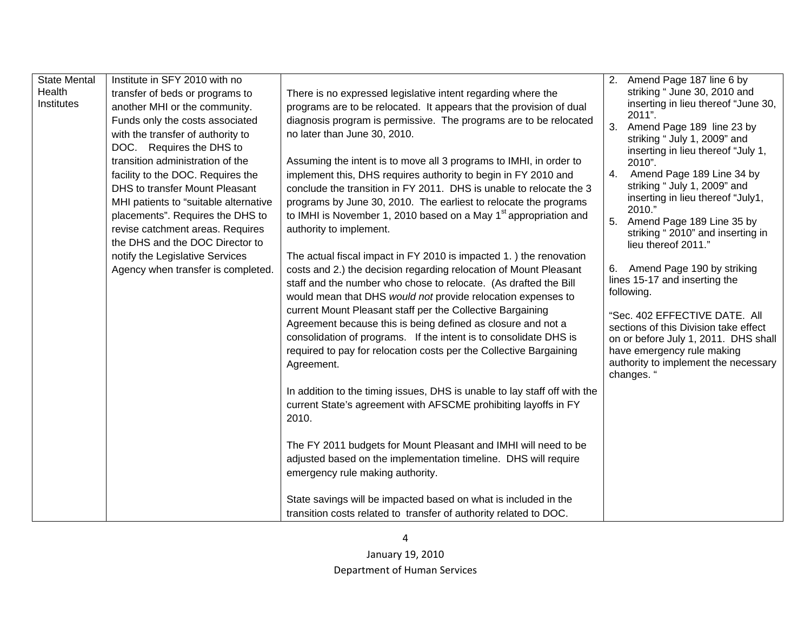| <b>State Mental</b> | Institute in SFY 2010 with no         |                                                                                  | 2. Amend Page 187 line 6 by                                        |
|---------------------|---------------------------------------|----------------------------------------------------------------------------------|--------------------------------------------------------------------|
| Health              | transfer of beds or programs to       | There is no expressed legislative intent regarding where the                     | striking "June 30, 2010 and                                        |
| Institutes          | another MHI or the community.         | programs are to be relocated. It appears that the provision of dual              | inserting in lieu thereof "June 30,                                |
|                     | Funds only the costs associated       | diagnosis program is permissive. The programs are to be relocated                | 2011".<br>3.<br>Amend Page 189 line 23 by                          |
|                     | with the transfer of authority to     | no later than June 30, 2010.                                                     | striking " July 1, 2009" and                                       |
|                     | DOC. Requires the DHS to              |                                                                                  | inserting in lieu thereof "July 1,                                 |
|                     | transition administration of the      | Assuming the intent is to move all 3 programs to IMHI, in order to               | 2010".                                                             |
|                     | facility to the DOC. Requires the     | implement this, DHS requires authority to begin in FY 2010 and                   | Amend Page 189 Line 34 by<br>4.                                    |
|                     | DHS to transfer Mount Pleasant        | conclude the transition in FY 2011. DHS is unable to relocate the 3              | striking " July 1, 2009" and                                       |
|                     | MHI patients to "suitable alternative | programs by June 30, 2010. The earliest to relocate the programs                 | inserting in lieu thereof "July1,<br>2010."                        |
|                     | placements". Requires the DHS to      | to IMHI is November 1, 2010 based on a May 1 <sup>st</sup> appropriation and     | 5.<br>Amend Page 189 Line 35 by                                    |
|                     | revise catchment areas. Requires      | authority to implement.                                                          | striking "2010" and inserting in                                   |
|                     | the DHS and the DOC Director to       |                                                                                  | lieu thereof 2011."                                                |
|                     | notify the Legislative Services       | The actual fiscal impact in FY 2010 is impacted 1. ) the renovation              |                                                                    |
|                     | Agency when transfer is completed.    | costs and 2.) the decision regarding relocation of Mount Pleasant                | 6. Amend Page 190 by striking<br>lines 15-17 and inserting the     |
|                     |                                       | staff and the number who chose to relocate. (As drafted the Bill                 | following.                                                         |
|                     |                                       | would mean that DHS would not provide relocation expenses to                     |                                                                    |
|                     |                                       | current Mount Pleasant staff per the Collective Bargaining                       | "Sec. 402 EFFECTIVE DATE. All                                      |
|                     |                                       | Agreement because this is being defined as closure and not a                     | sections of this Division take effect                              |
|                     |                                       | consolidation of programs. If the intent is to consolidate DHS is                | on or before July 1, 2011. DHS shall                               |
|                     |                                       | required to pay for relocation costs per the Collective Bargaining<br>Agreement. | have emergency rule making<br>authority to implement the necessary |
|                     |                                       |                                                                                  | changes. "                                                         |
|                     |                                       | In addition to the timing issues, DHS is unable to lay staff off with the        |                                                                    |
|                     |                                       | current State's agreement with AFSCME prohibiting layoffs in FY                  |                                                                    |
|                     |                                       | 2010.                                                                            |                                                                    |
|                     |                                       |                                                                                  |                                                                    |
|                     |                                       | The FY 2011 budgets for Mount Pleasant and IMHI will need to be                  |                                                                    |
|                     |                                       | adjusted based on the implementation timeline. DHS will require                  |                                                                    |
|                     |                                       | emergency rule making authority.                                                 |                                                                    |
|                     |                                       |                                                                                  |                                                                    |
|                     |                                       | State savings will be impacted based on what is included in the                  |                                                                    |
|                     |                                       | transition costs related to transfer of authority related to DOC.                |                                                                    |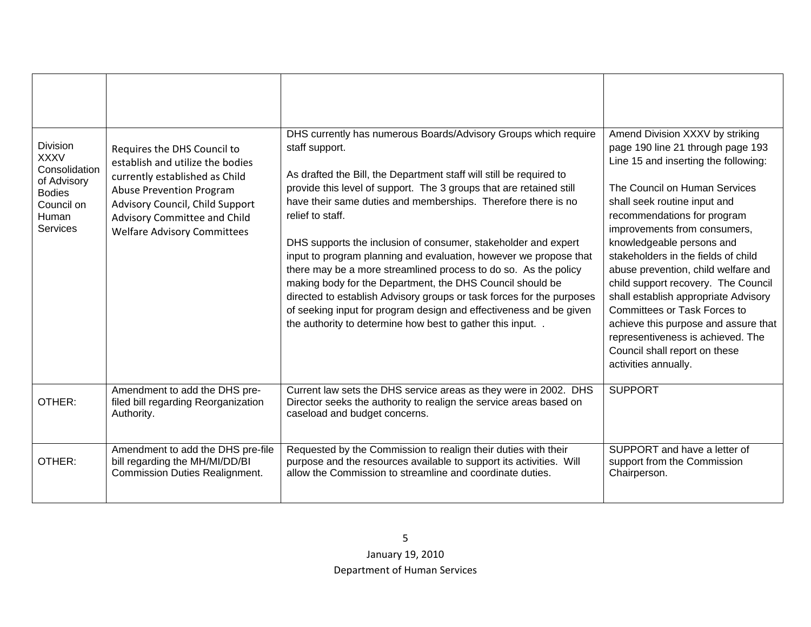| <b>Division</b><br><b>XXXV</b><br>Consolidation<br>of Advisory<br><b>Bodies</b><br>Council on<br>Human<br><b>Services</b> | Requires the DHS Council to<br>establish and utilize the bodies<br>currently established as Child<br><b>Abuse Prevention Program</b><br>Advisory Council, Child Support<br>Advisory Committee and Child<br><b>Welfare Advisory Committees</b> | DHS currently has numerous Boards/Advisory Groups which require<br>staff support.<br>As drafted the Bill, the Department staff will still be required to<br>provide this level of support. The 3 groups that are retained still<br>have their same duties and memberships. Therefore there is no<br>relief to staff.<br>DHS supports the inclusion of consumer, stakeholder and expert<br>input to program planning and evaluation, however we propose that<br>there may be a more streamlined process to do so. As the policy<br>making body for the Department, the DHS Council should be<br>directed to establish Advisory groups or task forces for the purposes<br>of seeking input for program design and effectiveness and be given<br>the authority to determine how best to gather this input | Amend Division XXXV by striking<br>page 190 line 21 through page 193<br>Line 15 and inserting the following:<br>The Council on Human Services<br>shall seek routine input and<br>recommendations for program<br>improvements from consumers,<br>knowledgeable persons and<br>stakeholders in the fields of child<br>abuse prevention, child welfare and<br>child support recovery. The Council<br>shall establish appropriate Advisory<br><b>Committees or Task Forces to</b><br>achieve this purpose and assure that<br>representiveness is achieved. The<br>Council shall report on these<br>activities annually. |
|---------------------------------------------------------------------------------------------------------------------------|-----------------------------------------------------------------------------------------------------------------------------------------------------------------------------------------------------------------------------------------------|--------------------------------------------------------------------------------------------------------------------------------------------------------------------------------------------------------------------------------------------------------------------------------------------------------------------------------------------------------------------------------------------------------------------------------------------------------------------------------------------------------------------------------------------------------------------------------------------------------------------------------------------------------------------------------------------------------------------------------------------------------------------------------------------------------|---------------------------------------------------------------------------------------------------------------------------------------------------------------------------------------------------------------------------------------------------------------------------------------------------------------------------------------------------------------------------------------------------------------------------------------------------------------------------------------------------------------------------------------------------------------------------------------------------------------------|
| OTHER:                                                                                                                    | Amendment to add the DHS pre-<br>filed bill regarding Reorganization<br>Authority.                                                                                                                                                            | Current law sets the DHS service areas as they were in 2002. DHS<br>Director seeks the authority to realign the service areas based on<br>caseload and budget concerns.                                                                                                                                                                                                                                                                                                                                                                                                                                                                                                                                                                                                                                | <b>SUPPORT</b>                                                                                                                                                                                                                                                                                                                                                                                                                                                                                                                                                                                                      |
| OTHER:                                                                                                                    | Amendment to add the DHS pre-file<br>bill regarding the MH/MI/DD/BI<br><b>Commission Duties Realignment.</b>                                                                                                                                  | Requested by the Commission to realign their duties with their<br>purpose and the resources available to support its activities. Will<br>allow the Commission to streamline and coordinate duties.                                                                                                                                                                                                                                                                                                                                                                                                                                                                                                                                                                                                     | SUPPORT and have a letter of<br>support from the Commission<br>Chairperson.                                                                                                                                                                                                                                                                                                                                                                                                                                                                                                                                         |